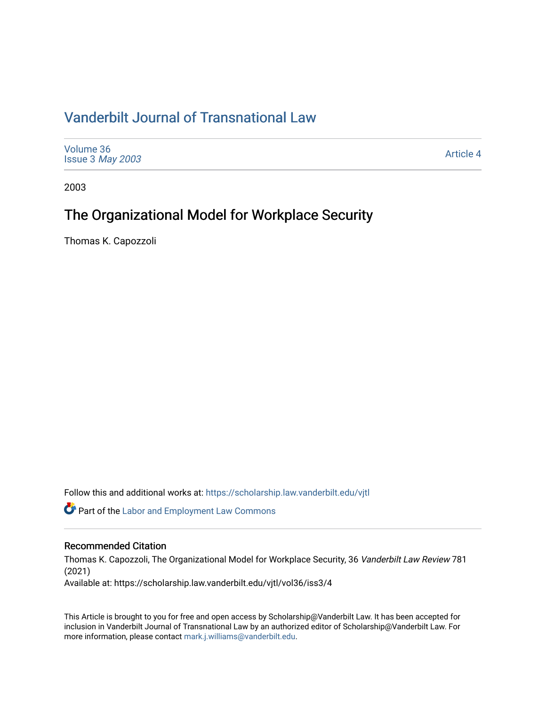# [Vanderbilt Journal of Transnational Law](https://scholarship.law.vanderbilt.edu/vjtl)

| Volume 36<br>Issue 3 May 2003 | <b>Article 4</b> |
|-------------------------------|------------------|
|-------------------------------|------------------|

2003

# The Organizational Model for Workplace Security

Thomas K. Capozzoli

Follow this and additional works at: [https://scholarship.law.vanderbilt.edu/vjtl](https://scholarship.law.vanderbilt.edu/vjtl?utm_source=scholarship.law.vanderbilt.edu%2Fvjtl%2Fvol36%2Fiss3%2F4&utm_medium=PDF&utm_campaign=PDFCoverPages) 

**C** Part of the [Labor and Employment Law Commons](http://network.bepress.com/hgg/discipline/909?utm_source=scholarship.law.vanderbilt.edu%2Fvjtl%2Fvol36%2Fiss3%2F4&utm_medium=PDF&utm_campaign=PDFCoverPages)

## Recommended Citation

Thomas K. Capozzoli, The Organizational Model for Workplace Security, 36 Vanderbilt Law Review 781 (2021)

Available at: https://scholarship.law.vanderbilt.edu/vjtl/vol36/iss3/4

This Article is brought to you for free and open access by Scholarship@Vanderbilt Law. It has been accepted for inclusion in Vanderbilt Journal of Transnational Law by an authorized editor of Scholarship@Vanderbilt Law. For more information, please contact [mark.j.williams@vanderbilt.edu](mailto:mark.j.williams@vanderbilt.edu).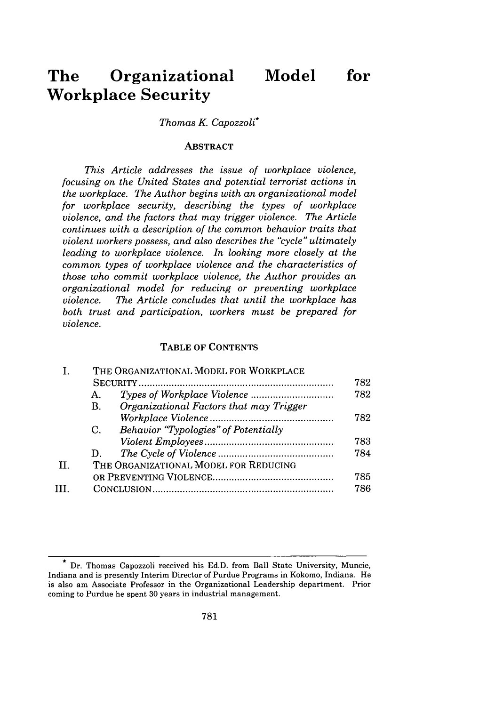# **The Organizational Model for Workplace Security**

## *Thomas K. Capozzoli\**

#### **ABSTRACT**

*This Article addresses the issue of workplace violence, focusing on the United States and potential terrorist actions in the workplace. The Author begins with an organizational model for workplace security, describing the types of workplace violence, and the factors that may trigger violence. The Article continues with a description of the common behavior traits that violent workers possess, and also describes the "cycle" ultimately leading to workplace violence. In looking more closely at the common types of workplace violence and the characteristics of those who commit workplace violence, the Author provides an organizational model for reducing or preventing workplace violence. The Article concludes that until the workplace has both trust and participation, workers must be prepared for violence.*

#### TABLE OF CONTENTS

|    | THE ORGANIZATIONAL MODEL FOR WORKPLACE                    |     |  |
|----|-----------------------------------------------------------|-----|--|
|    |                                                           | 782 |  |
|    | Α.                                                        | 782 |  |
|    | Organizational Factors that may Trigger<br>$\mathbf{B}$ . |     |  |
|    |                                                           | 782 |  |
|    | Behavior "Typologies" of Potentially<br>C.                |     |  |
|    |                                                           | 783 |  |
|    | D.                                                        | 784 |  |
| TT | THE ORGANIZATIONAL MODEL FOR REDUCING                     |     |  |
|    |                                                           | 785 |  |
|    |                                                           | 786 |  |
|    |                                                           |     |  |

**<sup>\*</sup>** Dr. Thomas Capozzoli received his Ed.D. from Ball State University, Muncie, Indiana and is presently Interim Director of Purdue Programs in Kokomo, Indiana. He is also am Associate Professor in the Organizational Leadership department. Prior coming to Purdue he spent 30 years in industrial management.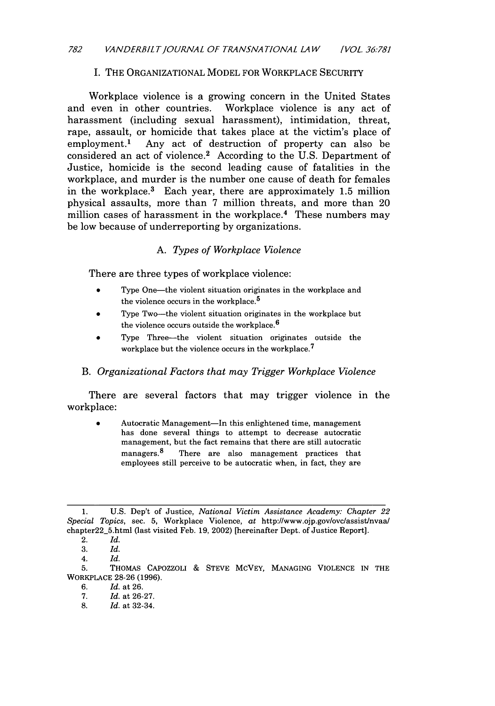## I. THE ORGANIZATIONAL MODEL FOR WORKPLACE SECURITY

Workplace violence is a growing concern in the United States and even in other countries. Workplace violence is any act of harassment (including sexual harassment), intimidation, threat, rape, assault, or homicide that takes place at the victim's place of employment.1 Any act of destruction of property can also be considered an act of violence.<sup>2</sup> According to the U.S. Department of Justice, homicide is the second leading cause of fatalities in the workplace, and murder is the number one cause of death for females in the workplace.<sup>3</sup> Each year, there are approximately 1.5 million physical assaults, more than 7 million threats, and more than 20 million cases of harassment in the workplace.<sup>4</sup> These numbers may be low because of underreporting by organizations.

## *A. Types of Workplace Violence*

There are three types of workplace violence:

- Type One-the violent situation originates in the workplace and the violence occurs in the workplace.<sup>5</sup>
- Type Two-the violent situation originates in the workplace but the violence occurs outside the workplace.<sup>6</sup>
- Type Three--the violent situation originates outside the workplace but the violence occurs in the workplace.<sup>7</sup>

#### B. *Organizational Factors that may Trigger Workplace Violence*

There are several factors that may trigger violence in the workplace:

Autocratic Management-In this enlightened time, management has done several things to attempt to decrease autocratic management, but the fact remains that there are still autocratic managers.<sup>8</sup> There are also management practices that employees still perceive to be autocratic when, in fact, they are

5. THOMAS CAPOZZOLI **&** STEVE MCVEY, MANAGING VIOLENCE IN THE WORKPLACE 28-26 (1996).

6. *Id.* at 26.

- *7. Id.* at 26-27.
- 8. *Id.* at 32-34.

<sup>1.</sup> U.S. Dep't of Justice, *National Victim Assistance Academy: Chapter 22 Special Topics,* sec. 5, Workplace Violence, at http://www.ojp.gov/ovc/assist/nvaa/ chapter22\_5.html (last visited Feb. 19, 2002) [hereinafter Dept. of Justice Report].

<sup>2.</sup> *Id.*

<sup>3.</sup> *Id. 4. Id.*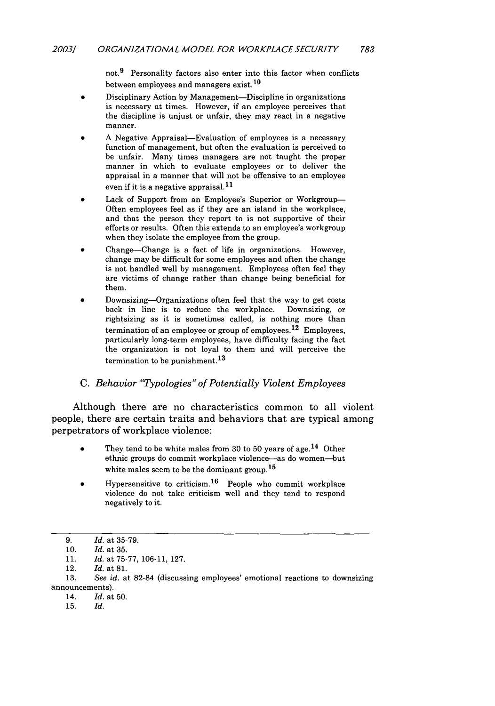not.9 Personality factors also enter into this factor when conflicts between employees and managers exist.<sup>10</sup>

- Disciplinary Action by Management-Discipline in organizations is necessary at times. However, if an employee perceives that the discipline is unjust or unfair, they may react in a negative manner.
- A Negative Appraisal-Evaluation of employees is a necessary function of management, but often the evaluation is perceived to be unfair. Many times managers are not taught the proper manner in which to evaluate employees or to deliver the appraisal in a manner that will not be offensive to an employee even if it is a negative appraisal. $11$
- Lack of Support from an Employee's Superior or Workgroup-Often employees feel as if they are an island in the workplace, and that the person they report to is not supportive of their efforts or results. Often this extends to an employee's workgroup when they isolate the employee from the group.
- Change-Change is a fact of life in organizations. However, change may be difficult for some employees and often the change is not handled well by management. Employees often feel they are victims of change rather than change being beneficial for them.
- Downsizing-Organizations often feel that the way to get costs back in line is to reduce the workplace. Downsizing, or rightsizing as it is sometimes called, is nothing more than termination of an employee or group of employees.<sup>12</sup> Employees, particularly long-term employees, have difficulty facing the fact the organization is not loyal to them and will perceive the termination to be punishment.<sup>13</sup>

## *C. Behavior "Typologies" of Potentially Violent Employees*

Although there are no characteristics common to all violent people, there are certain traits and behaviors that are typical among perpetrators of workplace violence:

- They tend to be white males from 30 to 50 years of age.<sup>14</sup> Other ethnic groups do commit workplace violence-as do women-but white males seem to be the dominant group.<sup>15</sup>
- Hypersensitive to criticism.<sup>16</sup> People who commit workplace violence do not take criticism well and they tend to respond negatively to it.

*<sup>9.</sup> Id.* at 35-79.

<sup>10.</sup> *Id.* at 35.

<sup>11.</sup> *Id.* at 75-77, 106-11, 127.

<sup>12.</sup> Id. at **81.**

<sup>13.</sup> *See id.* at 82-84 (discussing employees' emotional reactions to downsizing announcements).

<sup>14.</sup> *Id.* at 50.

<sup>15.</sup> *Id.*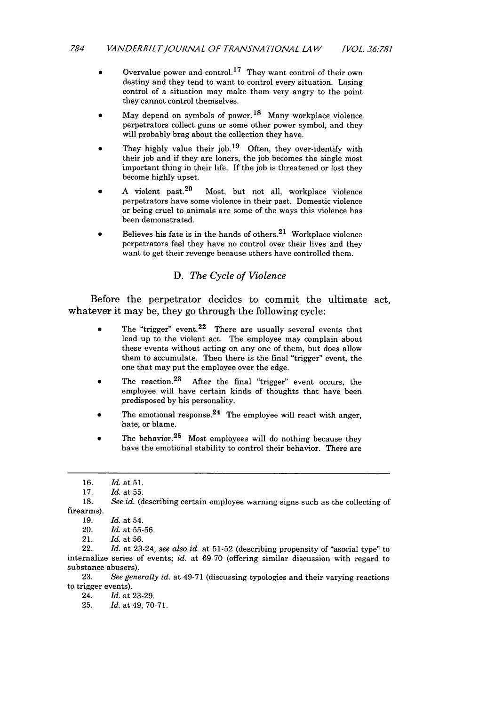- Overvalue power and control.<sup>17</sup> They want control of their own destiny and they tend to want to control every situation. Losing control of a situation may make them very angry to the point they cannot control themselves.
- May depend on symbols of power.<sup>18</sup> Many workplace violence perpetrators collect guns or some other power symbol, and they will probably brag about the collection they have.
- They highly value their job.<sup>19</sup> Often, they over-identify with their job and if they are loners, the job becomes the single most important thing in their life. If the job is threatened or lost they become highly upset.
- A violent past.<sup>20</sup> Most, but not all, workplace violence perpetrators have some violence in their past. Domestic violence or being cruel to animals are some of the ways this violence has been demonstrated.
- Believes his fate is in the hands of others. $21$  Workplace violence perpetrators feel they have no control over their lives and they want to get their revenge because others have controlled them.

#### *D. The Cycle of Violence*

Before the perpetrator decides to commit the ultimate act, whatever it may be, they go through the following cycle:

- The "trigger" event.  $2^2$  There are usually several events that lead up to the violent act. The employee may complain about these events without acting on any one of them, but does allow them to accumulate. Then there is the final "trigger" event, the one that may put the employee over the edge.
- The reaction. $23$  After the final "trigger" event occurs, the employee will have certain kinds of thoughts that have been predisposed by his personality.
- The emotional response.<sup>24</sup> The employee will react with anger, hate, or blame.
- The behavior.<sup>25</sup> Most employees will do nothing because they have the emotional stability to control their behavior. There are

23. *See generally id.* at 49-71 (discussing typologies and their varying reactions to trigger events).

24. *Id.* at 23-29.

25. *Id.* at 49, 70-71.

<sup>16.</sup> *Id.* at 51.

<sup>17.</sup> *Id.* at 55.

<sup>18.</sup> *See id.* (describing certain employee warning signs such as the collecting of firearms).

<sup>19.</sup> *Id.* at 54.

<sup>20.</sup> *Id.* at 55-56.

<sup>21.</sup> *Id.* at 56.

<sup>22.</sup> *Id.* at 23-24; *see also id.* at 51-52 (describing propensity of "asocial type" to internalize series of events; *id.* at 69-70 (offering similar discussion with regard to substance abusers).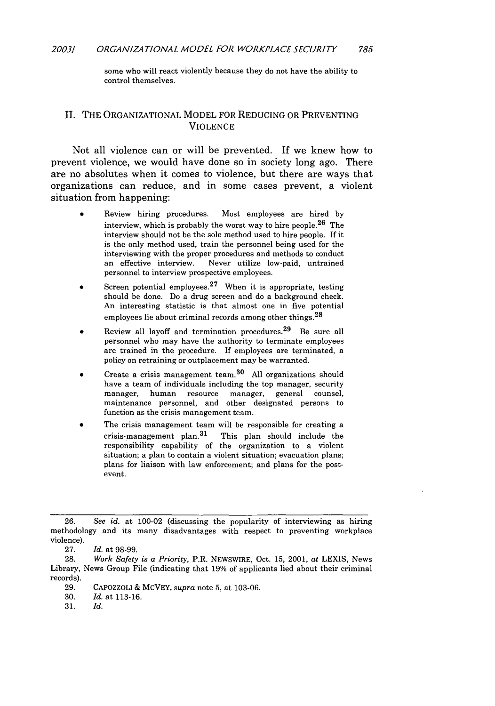some who will react violently because they do not have the ability to control themselves.

#### II. THE ORGANIZATIONAL MODEL FOR REDUCING OR PREVENTING **VIOLENCE**

Not all violence can or will be prevented. If we knew how to prevent violence, we would have done so in society long ago. There are no absolutes when it comes to violence, but there are ways that organizations can reduce, and in some cases prevent, a violent situation from happening:

- Review hiring procedures. Most employees are hired by interview, which is probably the worst way to hire people.<sup>26</sup> The interview should not be the sole method used to hire people. If it is the only method used, train the personnel being used for the interviewing with the proper procedures and methods to conduct an effective interview. Never utilize low-paid, untrained personnel to interview prospective employees.
- Screen potential employees. $27$  When it is appropriate, testing should be done. Do a drug screen and do a background check. An interesting statistic is that almost one in five potential employees lie about criminal records among other things.<sup>28</sup>
- Review all layoff and termination procedures.<sup>29</sup> Be sure all personnel who may have the authority to terminate employees are trained in the procedure. If employees are terminated, a policy on retraining or outplacement may be warranted.
- Create a crisis management team.<sup>30</sup> All organizations should have a team of individuals including the top manager, security manager, human resource manager, general counsel, maintenance personnel, and other designated persons to function as the crisis management team.
- The crisis management team will be responsible for creating a crisis-management plan. $31$  This plan should include the responsibility capability of the organization to a violent situation; a plan to contain a violent situation; evacuation plans; plans for liaison with law enforcement; and plans for the postevent.

<sup>26.</sup> *See id.* at 100-02 (discussing the popularity of interviewing as hiring methodology and its many disadvantages with respect to preventing workplace violence).

<sup>27.</sup> *Id.* at 98-99.

<sup>28.</sup> *Work Safety is a Priority,* P.R. NEWSWIRE, Oct. 15, 2001, at LEXIS, News Library, News Group File (indicating that 19% of applicants lied about their criminal records).

<sup>29.</sup> CAPOZZOLI & MCVEY, *supra* note 5, at 103-06.

<sup>30.</sup> *Id.* at 113-16.

<sup>31.</sup> *Id.*